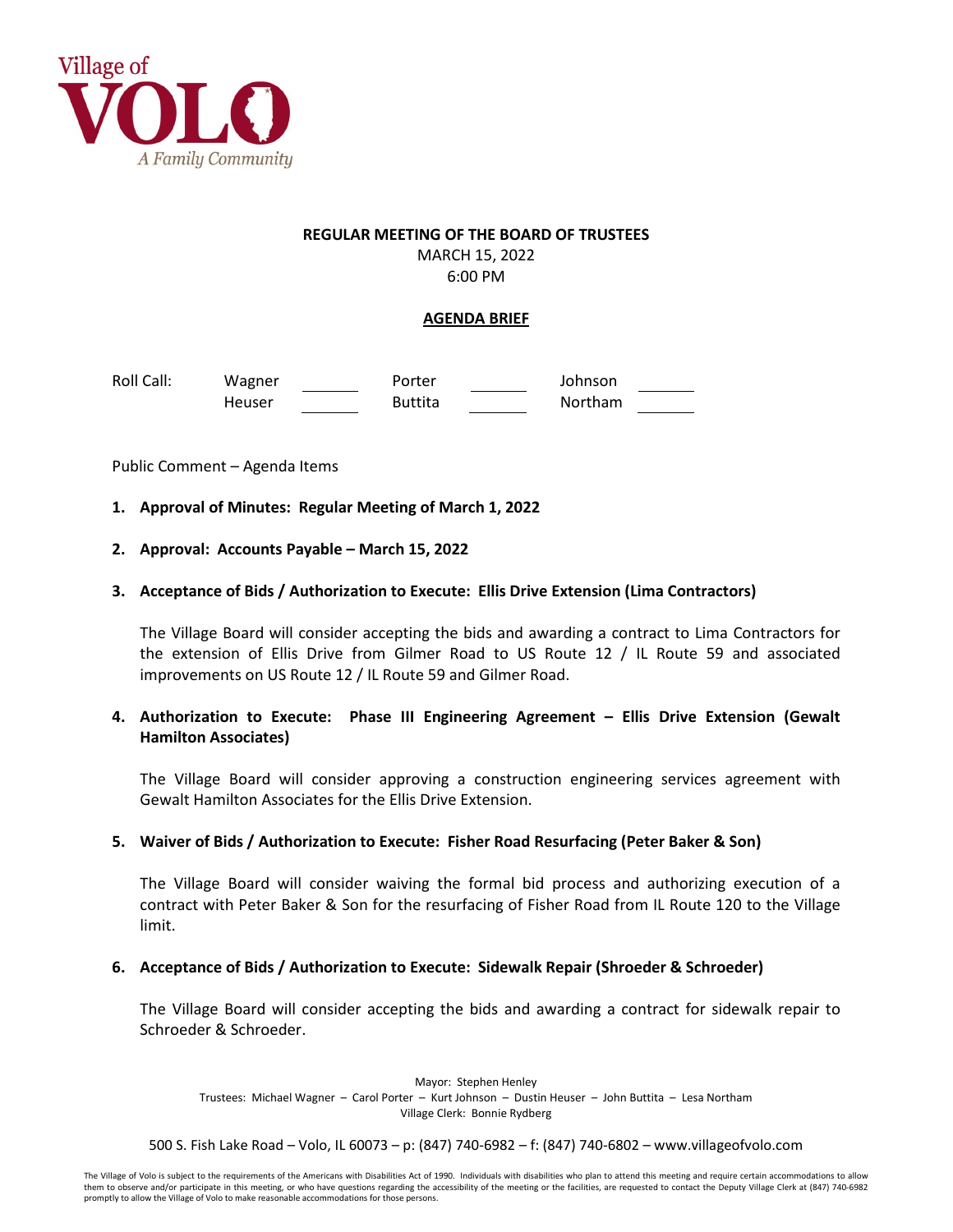

# **REGULAR MEETING OF THE BOARD OF TRUSTEES** MARCH 15, 2022

6:00 PM

## **AGENDA BRIEF**

Roll Call: Wagner **Porter Coll Call:** Wagner Porter Coll Call: Johnson Heuser **Buttita** Northam

Public Comment – Agenda Items

- **1. Approval of Minutes: Regular Meeting of March 1, 2022**
- **2. Approval: Accounts Payable – March 15, 2022**

## **3. Acceptance of Bids / Authorization to Execute: Ellis Drive Extension (Lima Contractors)**

The Village Board will consider accepting the bids and awarding a contract to Lima Contractors for the extension of Ellis Drive from Gilmer Road to US Route 12 / IL Route 59 and associated improvements on US Route 12 / IL Route 59 and Gilmer Road.

## **4. Authorization to Execute: Phase III Engineering Agreement – Ellis Drive Extension (Gewalt Hamilton Associates)**

The Village Board will consider approving a construction engineering services agreement with Gewalt Hamilton Associates for the Ellis Drive Extension.

#### **5. Waiver of Bids / Authorization to Execute: Fisher Road Resurfacing (Peter Baker & Son)**

The Village Board will consider waiving the formal bid process and authorizing execution of a contract with Peter Baker & Son for the resurfacing of Fisher Road from IL Route 120 to the Village limit.

#### **6. Acceptance of Bids / Authorization to Execute: Sidewalk Repair (Shroeder & Schroeder)**

The Village Board will consider accepting the bids and awarding a contract for sidewalk repair to Schroeder & Schroeder.

Mayor: Stephen Henley Trustees: Michael Wagner – Carol Porter – Kurt Johnson – Dustin Heuser – John Buttita – Lesa Northam Village Clerk: Bonnie Rydberg

500 S. Fish Lake Road – Volo, IL 60073 – p: (847) 740-6982 – f: (847) 740-6802 – www.villageofvolo.com